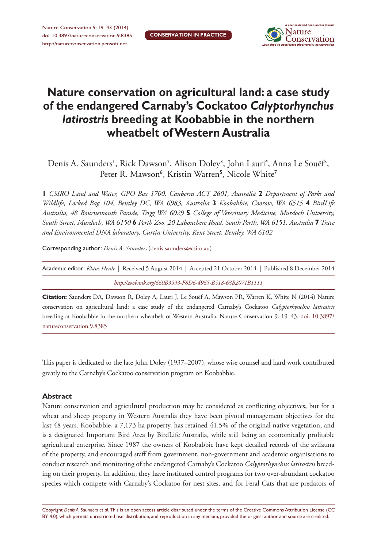

# **Nature conservation on agricultural land: a case study of the endangered Carnaby's Cockatoo** *Calyptorhynchus latirostris* **breeding at Koobabbie in the northern wheatbelt of Western Australia**

Denis A. Saunders', Rick Dawson<sup>2</sup>, Alison Doley<sup>3</sup>, John Lauri<sup>4</sup>, Anna Le Souëf<sup>5</sup>, Peter R. Mawson<sup>6</sup>, Kristin Warren<sup>5</sup>, Nicole White<sup>7</sup>

**1** *CSIRO Land and Water, GPO Box 1700, Canberra ACT 2601, Australia* **2** *Department of Parks and Wildlife, Locked Bag 104, Bentley DC, WA 6983, Australia* **3** *Koobabbie, Coorow, WA 6515* **4** *BirdLife Australia, 48 Bournemouth Parade, Trigg WA 6029* **5** *College of Veterinary Medicine, Murdoch University, South Street, Murdoch, WA 6150* **6** *Perth Zoo, 20 Labouchere Road, South Perth, WA 6151, Australia* **7** *Trace and Environmental DNA laboratory, Curtin University, Kent Street, Bentley, WA 6102*

Corresponding author: *Denis A. Saunders* ([denis.saunders@csiro.au](mailto:denis.saunders@csiro.au))

| Academic editor: Klaus Henle   Received 5 August 2014   Accepted 21 October 2014   Published 8 December 2014 |  |  |  |  |  |  |  |  |
|--------------------------------------------------------------------------------------------------------------|--|--|--|--|--|--|--|--|
| http://zoobank.org/660B3593-F8D6-4965-B518-63B2071B1111                                                      |  |  |  |  |  |  |  |  |

**Citation:** Saunders DA, Dawson R, Doley A, Lauri J, Le Souëf A, Mawson PR, Warren K, White N (2014) Nature conservation on agricultural land: a case study of the endangered Carnaby's Cockatoo *Calyptorhynchus latirostris* breeding at Koobabbie in the northern wheatbelt of Western Australia. Nature Conservation 9: 19–43. [doi: 10.3897/](http://dx.doi.org/10.3897/natureconservation.9.8385) [natureconservation.9.8385](http://dx.doi.org/10.3897/natureconservation.9.8385)

This paper is dedicated to the late John Doley (1937–2007), whose wise counsel and hard work contributed greatly to the Carnaby's Cockatoo conservation program on Koobabbie.

#### **Abstract**

Nature conservation and agricultural production may be considered as conflicting objectives, but for a wheat and sheep property in Western Australia they have been pivotal management objectives for the last 48 years. Koobabbie, a 7,173 ha property, has retained 41.5% of the original native vegetation, and is a designated Important Bird Area by BirdLife Australia, while still being an economically profitable agricultural enterprise. Since 1987 the owners of Koobabbie have kept detailed records of the avifauna of the property, and encouraged staff from government, non-government and academic organisations to conduct research and monitoring of the endangered Carnaby's Cockatoo *Calyptorhynchus latirostris* breeding on their property. In addition, they have instituted control programs for two over-abundant cockatoo species which compete with Carnaby's Cockatoo for nest sites, and for Feral Cats that are predators of

Copyright *Denis A. Saunders et al.* This is an open access article distributed under the terms of the [Creative Commons Attribution License \(CC](http://creativecommons.org/licenses/by/4.0/)  [BY 4.0\)](http://creativecommons.org/licenses/by/4.0/), which permits unrestricted use, distribution, and reproduction in any medium, provided the original author and source are credited.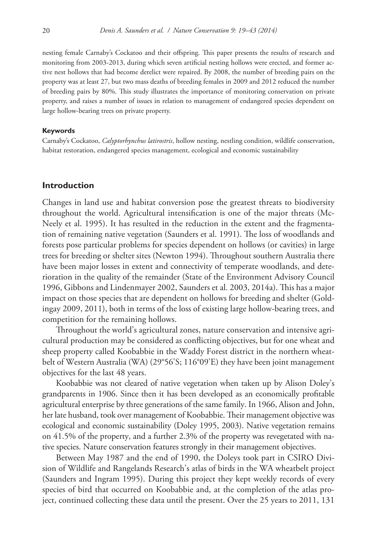nesting female Carnaby's Cockatoo and their offspring. This paper presents the results of research and monitoring from 2003-2013, during which seven artificial nesting hollows were erected, and former active nest hollows that had become derelict were repaired. By 2008, the number of breeding pairs on the property was at least 27, but two mass deaths of breeding females in 2009 and 2012 reduced the number of breeding pairs by 80%. This study illustrates the importance of monitoring conservation on private property, and raises a number of issues in relation to management of endangered species dependent on large hollow-bearing trees on private property.

#### **Keywords**

Carnaby's Cockatoo, *Calyptorhynchus latirostris*, hollow nesting, nestling condition, wildlife conservation, habitat restoration, endangered species management, ecological and economic sustainability

# **Introduction**

Changes in land use and habitat conversion pose the greatest threats to biodiversity throughout the world. Agricultural intensification is one of the major threats (Mc-Neely et al. 1995). It has resulted in the reduction in the extent and the fragmentation of remaining native vegetation (Saunders et al. 1991). The loss of woodlands and forests pose particular problems for species dependent on hollows (or cavities) in large trees for breeding or shelter sites (Newton 1994). Throughout southern Australia there have been major losses in extent and connectivity of temperate woodlands, and deterioration in the quality of the remainder (State of the Environment Advisory Council 1996, Gibbons and Lindenmayer 2002, Saunders et al. 2003, 2014a). This has a major impact on those species that are dependent on hollows for breeding and shelter (Goldingay 2009, 2011), both in terms of the loss of existing large hollow-bearing trees, and competition for the remaining hollows.

Throughout the world's agricultural zones, nature conservation and intensive agricultural production may be considered as conflicting objectives, but for one wheat and sheep property called Koobabbie in the Waddy Forest district in the northern wheatbelt of Western Australia (WA) (29°56'S; 116°09'E) they have been joint management objectives for the last 48 years.

Koobabbie was not cleared of native vegetation when taken up by Alison Doley's grandparents in 1906. Since then it has been developed as an economically profitable agricultural enterprise by three generations of the same family. In 1966, Alison and John, her late husband, took over management of Koobabbie. Their management objective was ecological and economic sustainability (Doley 1995, 2003). Native vegetation remains on 41.5% of the property, and a further 2.3% of the property was revegetated with native species. Nature conservation features strongly in their management objectives.

Between May 1987 and the end of 1990, the Doleys took part in CSIRO Division of Wildlife and Rangelands Research's atlas of birds in the WA wheatbelt project (Saunders and Ingram 1995). During this project they kept weekly records of every species of bird that occurred on Koobabbie and, at the completion of the atlas project, continued collecting these data until the present. Over the 25 years to 2011, 131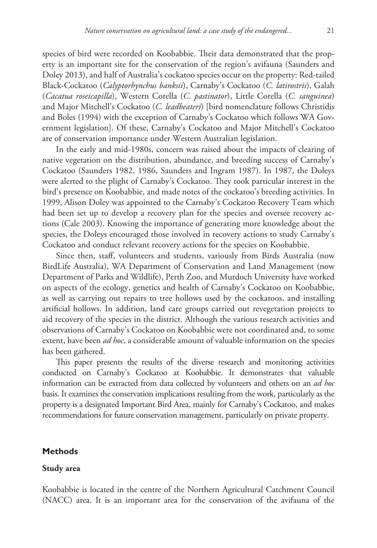species of bird were recorded on Koobabbie. Their data demonstrated that the property is an important site for the conservation of the region's avifauna (Saunders and Doley 2013), and half of Australia's cockatoo species occur on the property: Red-tailed Black-Cockatoo (*Calyptorhynchus banksii*), Carnaby's Cockatoo (*C. latirostris*), Galah (*Cacatua roseicapilla*), Western Corella (*C. pastinator*), Little Corella (*C. sanguinea*) and Major Mitchell's Cockatoo (*C. leadbeateri*) [bird nomenclature follows Christidis and Boles (1994) with the exception of Carnaby's Cockatoo which follows WA Government legislation]. Of these, Carnaby's Cockatoo and Major Mitchell's Cockatoo are of conservation importance under Western Australian legislation.

In the early and mid-1980s, concern was raised about the impacts of clearing of native vegetation on the distribution, abundance, and breeding success of Carnaby's Cockatoo (Saunders 1982, 1986, Saunders and Ingram 1987). In 1987, the Doleys were alerted to the plight of Carnaby's Cockatoo. They took particular interest in the bird's presence on Koobabbie, and made notes of the cockatoo's breeding activities. In 1999, Alison Doley was appointed to the Carnaby's Cockatoo Recovery Team which had been set up to develop a recovery plan for the species and oversee recovery actions (Cale 2003). Knowing the importance of generating more knowledge about the species, the Doleys encouraged those involved in recovery actions to study Carnaby's Cockatoo and conduct relevant recovery actions for the species on Koobabbie.

Since then, staff, volunteers and students, variously from Birds Australia (now BirdLife Australia), WA Department of Conservation and Land Management (now Department of Parks and Wildlife), Perth Zoo, and Murdoch University have worked on aspects of the ecology, genetics and health of Carnaby's Cockatoo on Koobabbie, as well as carrying out repairs to tree hollows used by the cockatoos, and installing artificial hollows. In addition, land care groups carried out revegetation projects to aid recovery of the species in the district. Although the various research activities and observations of Carnaby's Cockatoo on Koobabbie were not coordinated and, to some extent, have been *ad hoc*, a considerable amount of valuable information on the species has been gathered.

This paper presents the results of the diverse research and monitoring activities conducted on Carnaby's Cockatoo at Koobabbie. It demonstrates that valuable information can be extracted from data collected by volunteers and others on an *ad hoc*  basis. It examines the conservation implications resulting from the work, particularly as the property is a designated Important Bird Area, mainly for Carnaby's Cockatoo, and makes recommendations for future conservation management, particularly on private property.

## **Methods**

#### **Study area**

Koobabbie is located in the centre of the Northern Agricultural Catchment Council (NACC) area. It is an important area for the conservation of the avifauna of the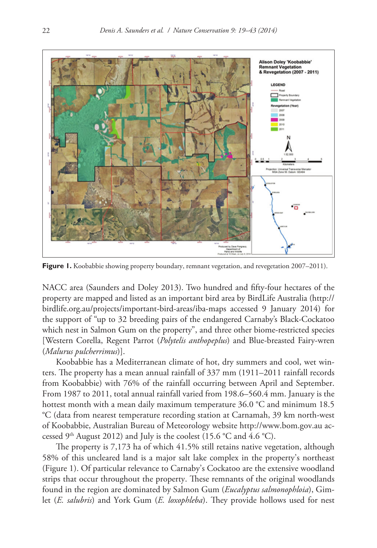

Figure 1. Koobabbie showing property boundary, remnant vegetation, and revegetation 2007–2011).

NACC area (Saunders and Doley 2013). Two hundred and fifty-four hectares of the property are mapped and listed as an important bird area by BirdLife Australia ([http://](http://birdlife.org.au/projects/important-bird-areas/iba-maps) [birdlife.org.au/projects/important-bird-areas/iba-maps](http://birdlife.org.au/projects/important-bird-areas/iba-maps) accessed 9 January 2014) for the support of "up to 32 breeding pairs of the endangered Carnaby's Black-Cockatoo which nest in Salmon Gum on the property", and three other biome-restricted species [Western Corella, Regent Parrot (*Polytelis anthopeplus*) and Blue-breasted Fairy-wren (*Malurus pulcherrimus*)].

Koobabbie has a Mediterranean climate of hot, dry summers and cool, wet winters. The property has a mean annual rainfall of 337 mm (1911–2011 rainfall records from Koobabbie) with 76% of the rainfall occurring between April and September. From 1987 to 2011, total annual rainfall varied from 198.6–560.4 mm. January is the hottest month with a mean daily maximum temperature 36.0 °C and minimum 18.5 °C (data from nearest temperature recording station at Carnamah, 39 km north-west of Koobabbie, Australian Bureau of Meteorology website <http://www.bom.gov.au> accessed  $9<sup>th</sup>$  August 2012) and July is the coolest (15.6 °C and 4.6 °C).

The property is 7,173 ha of which 41.5% still retains native vegetation, although 58% of this uncleared land is a major salt lake complex in the property's northeast (Figure 1). Of particular relevance to Carnaby's Cockatoo are the extensive woodland strips that occur throughout the property. These remnants of the original woodlands found in the region are dominated by Salmon Gum (*Eucalyptus salmonophloia*), Gimlet (*E. salubris*) and York Gum (*E. loxophleba*). They provide hollows used for nest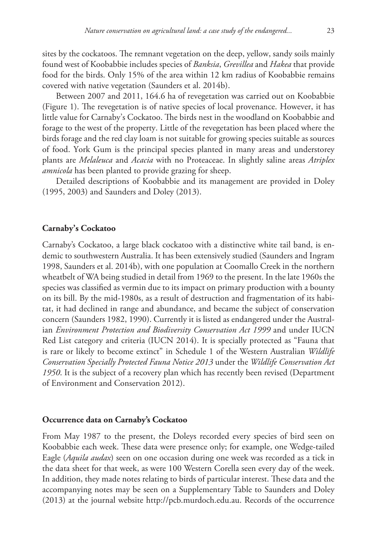sites by the cockatoos. The remnant vegetation on the deep, yellow, sandy soils mainly found west of Koobabbie includes species of *Banksia*, *Grevillea* and *Hakea* that provide food for the birds. Only 15% of the area within 12 km radius of Koobabbie remains covered with native vegetation (Saunders et al. 2014b).

Between 2007 and 2011, 164.6 ha of revegetation was carried out on Koobabbie (Figure 1). The revegetation is of native species of local provenance. However, it has little value for Carnaby's Cockatoo. The birds nest in the woodland on Koobabbie and forage to the west of the property. Little of the revegetation has been placed where the birds forage and the red clay loam is not suitable for growing species suitable as sources of food. York Gum is the principal species planted in many areas and understorey plants are *Melaleuca* and *Acacia* with no Proteaceae. In slightly saline areas *Atriplex amnicola* has been planted to provide grazing for sheep.

Detailed descriptions of Koobabbie and its management are provided in Doley (1995, 2003) and Saunders and Doley (2013).

## **Carnaby's Cockatoo**

Carnaby's Cockatoo, a large black cockatoo with a distinctive white tail band, is endemic to southwestern Australia. It has been extensively studied (Saunders and Ingram 1998, Saunders et al. 2014b), with one population at Coomallo Creek in the northern wheatbelt of WA being studied in detail from 1969 to the present. In the late 1960s the species was classified as vermin due to its impact on primary production with a bounty on its bill. By the mid-1980s, as a result of destruction and fragmentation of its habitat, it had declined in range and abundance, and became the subject of conservation concern (Saunders 1982, 1990). Currently it is listed as endangered under the Australian *Environment Protection and Biodiversity Conservation Act 1999* and under IUCN Red List category and criteria (IUCN 2014). It is specially protected as "Fauna that is rare or likely to become extinct" in Schedule 1 of the Western Australian *Wildlife Conservation Specially Protected Fauna Notice 2013* under the *Wildlife Conservation Act 1950*. It is the subject of a recovery plan which has recently been revised (Department of Environment and Conservation 2012).

## **Occurrence data on Carnaby's Cockatoo**

From May 1987 to the present, the Doleys recorded every species of bird seen on Koobabbie each week. These data were presence only; for example, one Wedge-tailed Eagle (*Aquila audax*) seen on one occasion during one week was recorded as a tick in the data sheet for that week, as were 100 Western Corella seen every day of the week. In addition, they made notes relating to birds of particular interest. These data and the accompanying notes may be seen on a Supplementary Table to Saunders and Doley (2013) at the journal website <http://pcb.murdoch.edu.au>. Records of the occurrence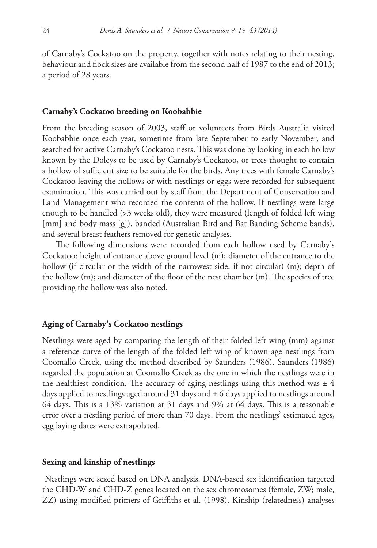of Carnaby's Cockatoo on the property, together with notes relating to their nesting, behaviour and flock sizes are available from the second half of 1987 to the end of 2013; a period of 28 years.

#### **Carnaby's Cockatoo breeding on Koobabbie**

From the breeding season of 2003, staff or volunteers from Birds Australia visited Koobabbie once each year, sometime from late September to early November, and searched for active Carnaby's Cockatoo nests. This was done by looking in each hollow known by the Doleys to be used by Carnaby's Cockatoo, or trees thought to contain a hollow of sufficient size to be suitable for the birds. Any trees with female Carnaby's Cockatoo leaving the hollows or with nestlings or eggs were recorded for subsequent examination. This was carried out by staff from the Department of Conservation and Land Management who recorded the contents of the hollow. If nestlings were large enough to be handled (>3 weeks old), they were measured (length of folded left wing [mm] and body mass [g]), banded (Australian Bird and Bat Banding Scheme bands), and several breast feathers removed for genetic analyses.

The following dimensions were recorded from each hollow used by Carnaby's Cockatoo: height of entrance above ground level (m); diameter of the entrance to the hollow (if circular or the width of the narrowest side, if not circular) (m); depth of the hollow (m); and diameter of the floor of the nest chamber (m). The species of tree providing the hollow was also noted.

## **Aging of Carnaby's Cockatoo nestlings**

Nestlings were aged by comparing the length of their folded left wing (mm) against a reference curve of the length of the folded left wing of known age nestlings from Coomallo Creek, using the method described by Saunders (1986). Saunders (1986) regarded the population at Coomallo Creek as the one in which the nestlings were in the healthiest condition. The accuracy of aging nestlings using this method was  $\pm$  4 days applied to nestlings aged around 31 days and  $\pm$  6 days applied to nestlings around 64 days. This is a 13% variation at 31 days and 9% at 64 days. This is a reasonable error over a nestling period of more than 70 days. From the nestlings' estimated ages, egg laying dates were extrapolated.

#### **Sexing and kinship of nestlings**

 Nestlings were sexed based on DNA analysis. DNA-based sex identification targeted the CHD-W and CHD-Z genes located on the sex chromosomes (female, ZW; male, ZZ) using modified primers of Griffiths et al. (1998). Kinship (relatedness) analyses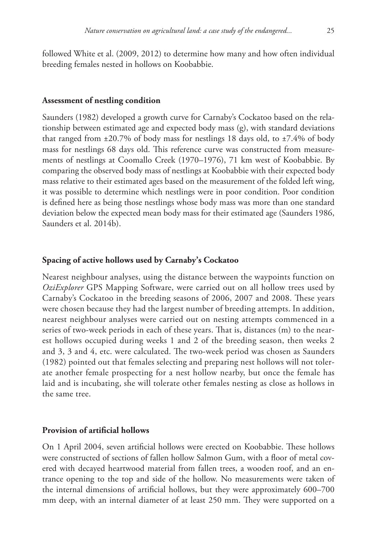followed White et al. (2009, 2012) to determine how many and how often individual breeding females nested in hollows on Koobabbie.

## **Assessment of nestling condition**

Saunders (1982) developed a growth curve for Carnaby's Cockatoo based on the relationship between estimated age and expected body mass (g), with standard deviations that ranged from  $\pm 20.7\%$  of body mass for nestlings 18 days old, to  $\pm 7.4\%$  of body mass for nestlings 68 days old. This reference curve was constructed from measurements of nestlings at Coomallo Creek (1970–1976), 71 km west of Koobabbie. By comparing the observed body mass of nestlings at Koobabbie with their expected body mass relative to their estimated ages based on the measurement of the folded left wing, it was possible to determine which nestlings were in poor condition. Poor condition is defined here as being those nestlings whose body mass was more than one standard deviation below the expected mean body mass for their estimated age (Saunders 1986, Saunders et al. 2014b).

## **Spacing of active hollows used by Carnaby's Cockatoo**

Nearest neighbour analyses, using the distance between the waypoints function on *OziExplorer* GPS Mapping Software, were carried out on all hollow trees used by Carnaby's Cockatoo in the breeding seasons of 2006, 2007 and 2008. These years were chosen because they had the largest number of breeding attempts. In addition, nearest neighbour analyses were carried out on nesting attempts commenced in a series of two-week periods in each of these years. That is, distances (m) to the nearest hollows occupied during weeks 1 and 2 of the breeding season, then weeks 2 and 3, 3 and 4, etc. were calculated. The two-week period was chosen as Saunders (1982) pointed out that females selecting and preparing nest hollows will not tolerate another female prospecting for a nest hollow nearby, but once the female has laid and is incubating, she will tolerate other females nesting as close as hollows in the same tree.

# **Provision of artificial hollows**

On 1 April 2004, seven artificial hollows were erected on Koobabbie. These hollows were constructed of sections of fallen hollow Salmon Gum, with a floor of metal covered with decayed heartwood material from fallen trees, a wooden roof, and an entrance opening to the top and side of the hollow. No measurements were taken of the internal dimensions of artificial hollows, but they were approximately 600–700 mm deep, with an internal diameter of at least 250 mm. They were supported on a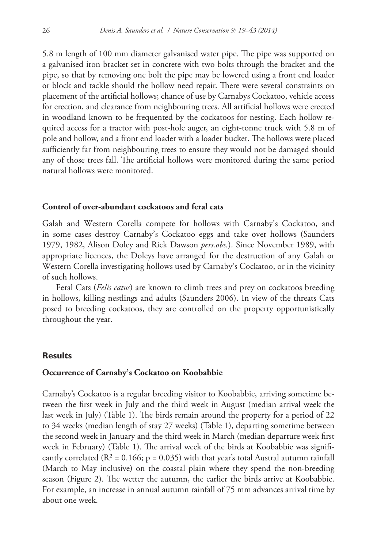5.8 m length of 100 mm diameter galvanised water pipe. The pipe was supported on a galvanised iron bracket set in concrete with two bolts through the bracket and the pipe, so that by removing one bolt the pipe may be lowered using a front end loader or block and tackle should the hollow need repair. There were several constraints on placement of the artificial hollows; chance of use by Carnabys Cockatoo, vehicle access for erection, and clearance from neighbouring trees. All artificial hollows were erected in woodland known to be frequented by the cockatoos for nesting. Each hollow required access for a tractor with post-hole auger, an eight-tonne truck with 5.8 m of pole and hollow, and a front end loader with a loader bucket. The hollows were placed sufficiently far from neighbouring trees to ensure they would not be damaged should any of those trees fall. The artificial hollows were monitored during the same period natural hollows were monitored.

# **Control of over-abundant cockatoos and feral cats**

Galah and Western Corella compete for hollows with Carnaby's Cockatoo, and in some cases destroy Carnaby's Cockatoo eggs and take over hollows (Saunders 1979, 1982, Alison Doley and Rick Dawson *pers.obs.*). Since November 1989, with appropriate licences, the Doleys have arranged for the destruction of any Galah or Western Corella investigating hollows used by Carnaby's Cockatoo, or in the vicinity of such hollows.

Feral Cats (*Felis catus*) are known to climb trees and prey on cockatoos breeding in hollows, killing nestlings and adults (Saunders 2006). In view of the threats Cats posed to breeding cockatoos, they are controlled on the property opportunistically throughout the year.

# **Results**

## **Occurrence of Carnaby's Cockatoo on Koobabbie**

Carnaby's Cockatoo is a regular breeding visitor to Koobabbie, arriving sometime between the first week in July and the third week in August (median arrival week the last week in July) (Table 1). The birds remain around the property for a period of 22 to 34 weeks (median length of stay 27 weeks) (Table 1), departing sometime between the second week in January and the third week in March (median departure week first week in February) (Table 1). The arrival week of the birds at Koobabbie was significantly correlated ( $R^2 = 0.166$ ; p = 0.035) with that year's total Austral autumn rainfall (March to May inclusive) on the coastal plain where they spend the non-breeding season (Figure 2). The wetter the autumn, the earlier the birds arrive at Koobabbie. For example, an increase in annual autumn rainfall of 75 mm advances arrival time by about one week.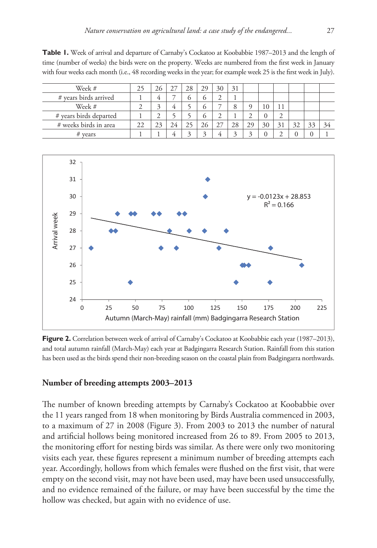**Table 1.** Week of arrival and departure of Carnaby's Cockatoo at Koobabbie 1987–2013 and the length of time (number of weeks) the birds were on the property. Weeks are numbered from the first week in January with four weeks each month (i.e., 48 recording weeks in the year; for example week 25 is the first week in July).

| Week #                 | 26 |    | 28 | 29 | 30 | 31 |    |    |    |    |    |
|------------------------|----|----|----|----|----|----|----|----|----|----|----|
| # years birds arrived  |    |    | O  | O  |    |    |    |    |    |    |    |
| Week #                 |    |    |    | O  |    |    |    |    |    |    |    |
| # years birds departed |    |    |    |    |    |    |    |    |    |    |    |
| # weeks birds in area  | 23 | 24 | 23 | 20 |    | 28 | 30 | 31 | 32 | 33 | 34 |
| $# \text{ years}$      |    |    |    |    |    | ◠  |    |    |    |    |    |



Figure 2. Correlation between week of arrival of Carnaby's Cockatoo at Koobabbie each year (1987–2013), and total autumn rainfall (March-May) each year at Badgingarra Research Station. Rainfall from this station has been used as the birds spend their non-breeding season on the coastal plain from Badgingarra northwards.

## **Number of breeding attempts 2003–2013**

The number of known breeding attempts by Carnaby's Cockatoo at Koobabbie over the 11 years ranged from 18 when monitoring by Birds Australia commenced in 2003, to a maximum of 27 in 2008 (Figure 3). From 2003 to 2013 the number of natural and artificial hollows being monitored increased from 26 to 89. From 2005 to 2013, the monitoring effort for nesting birds was similar. As there were only two monitoring visits each year, these figures represent a minimum number of breeding attempts each year. Accordingly, hollows from which females were flushed on the first visit, that were empty on the second visit, may not have been used, may have been used unsuccessfully, and no evidence remained of the failure, or may have been successful by the time the hollow was checked, but again with no evidence of use.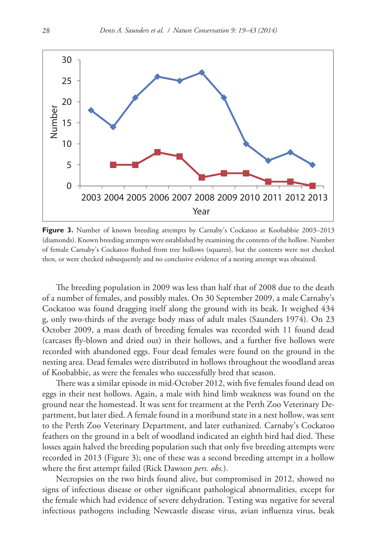

Figure 3. Number of known breeding attempts by Carnaby's Cockatoo at Koobabbie 2003–2013 (diamonds). Known breeding attempts were established by examining the contents of the hollow. Number of female Carnaby's Cockatoo flushed from tree hollows (squares), but the contents were not checked then, or were checked subsequently and no conclusive evidence of a nesting attempt was obtained.

The breeding population in 2009 was less than half that of 2008 due to the death of a number of females, and possibly males. On 30 September 2009, a male Carnaby's Cockatoo was found dragging itself along the ground with its beak. It weighed 434 g, only two-thirds of the average body mass of adult males (Saunders 1974). On 23 October 2009, a mass death of breeding females was recorded with 11 found dead (carcases fly-blown and dried out) in their hollows, and a further five hollows were recorded with abandoned eggs. Four dead females were found on the ground in the nesting area. Dead females were distributed in hollows throughout the woodland areas of Koobabbie, as were the females who successfully bred that season.

There was a similar episode in mid-October 2012, with five females found dead on eggs in their nest hollows. Again, a male with hind limb weakness was found on the ground near the homestead. It was sent for treatment at the Perth Zoo Veterinary Department, but later died. A female found in a moribund state in a nest hollow, was sent to the Perth Zoo Veterinary Department, and later euthanized. Carnaby's Cockatoo feathers on the ground in a belt of woodland indicated an eighth bird had died. These losses again halved the breeding population such that only five breeding attempts were recorded in 2013 (Figure 3); one of these was a second breeding attempt in a hollow where the first attempt failed (Rick Dawson *pers. obs.*).

Necropsies on the two birds found alive, but compromised in 2012, showed no signs of infectious disease or other significant pathological abnormalities, except for the female which had evidence of severe dehydration. Testing was negative for several infectious pathogens including Newcastle disease virus, avian influenza virus, beak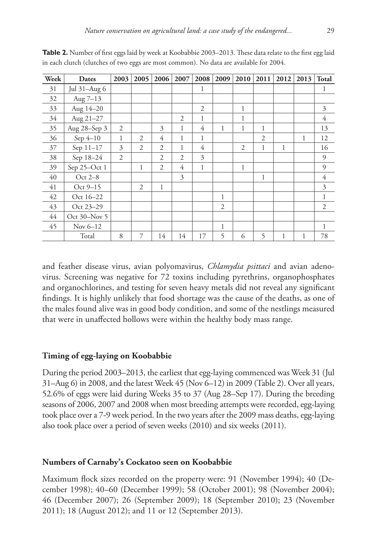| Week | Dates            | 2003           | 2005           | 2006           | 2007           | 2008 | 2009           | 2010           | 2011           | 2012 | 2013 | <b>Total</b>   |
|------|------------------|----------------|----------------|----------------|----------------|------|----------------|----------------|----------------|------|------|----------------|
| 31   | Jul 31-Aug 6     |                |                |                |                | 1    |                |                |                |      |      | 1              |
| 32   | Aug $7-13$       |                |                |                |                |      |                |                |                |      |      |                |
| 33   | Aug 14-20        |                |                |                |                | 2    |                | 1              |                |      |      | 3              |
| 34   | Aug 21-27        |                |                |                | $\overline{2}$ | 1    |                | 1              |                |      |      | 4              |
| 35   | Aug 28-Sep 3     | $\overline{2}$ |                | 3              | $\mathbf{1}$   | 4    | 1              | $\mathbf{1}$   | $\mathbf{1}$   |      |      | 13             |
| 36   | Sep 4-10         | 1              | $\overline{c}$ | $\overline{4}$ | 1              | 1    |                |                | $\overline{2}$ |      | 1    | 12             |
| 37   | Sep 11-17        | 3              | 2              | $\overline{2}$ | 1              | 4    |                | $\overline{2}$ | 1              | 1    |      | 16             |
| 38   | Sep 18-24        | $\overline{2}$ |                | $\overline{2}$ | $\overline{2}$ | 3    |                |                |                |      |      | 9              |
| 39   | Sep 25-Oct 1     |                | 1              | $\overline{2}$ | $\overline{4}$ | 1    |                | 1              |                |      |      | 9              |
| 40   | Oct $2-8$        |                |                |                | 3              |      |                |                | 1              |      |      | 4              |
| 41   | Oct 9-15         |                | $\overline{2}$ | 1              |                |      |                |                |                |      |      | 3              |
| 42   | Oct 16-22        |                |                |                |                |      | 1              |                |                |      |      | 1              |
| 43   | Oct 23-29        |                |                |                |                |      | $\overline{2}$ |                |                |      |      | $\overline{2}$ |
| 44   | Oct $30 - Nov$ 5 |                |                |                |                |      |                |                |                |      |      |                |
| 45   | Nov $6-12$       |                |                |                |                |      | 1              |                |                |      |      | 1              |
|      | Total            | 8              | 7              | 14             | 14             | 17   | 5              | 6              | 5              | 1    | 1    | 78             |

**Table 2.** Number of first eggs laid by week at Koobabbie 2003–2013. These data relate to the first egg laid in each clutch (clutches of two eggs are most common). No data are available for 2004.

and feather disease virus, avian polyomavirus, *Chlamydia psittaci* and avian adenovirus. Screening was negative for 72 toxins including pyrethrins, organophosphates and organochlorines, and testing for seven heavy metals did not reveal any significant findings. It is highly unlikely that food shortage was the cause of the deaths, as one of the males found alive was in good body condition, and some of the nestlings measured that were in unaffected hollows were within the healthy body mass range.

## **Timing of egg-laying on Koobabbie**

During the period 2003–2013, the earliest that egg-laying commenced was Week 31 (Jul 31–Aug 6) in 2008, and the latest Week 45 (Nov 6–12) in 2009 (Table 2). Over all years, 52.6% of eggs were laid during Weeks 35 to 37 (Aug 28–Sep 17). During the breeding seasons of 2006, 2007 and 2008 when most breeding attempts were recorded, egg-laying took place over a 7-9 week period. In the two years after the 2009 mass deaths, egg-laying also took place over a period of seven weeks (2010) and six weeks (2011).

## **Numbers of Carnaby's Cockatoo seen on Koobabbie**

Maximum flock sizes recorded on the property were: 91 (November 1994); 40 (December 1998); 40–60 (December 1999); 58 (October 2001); 98 (November 2004); 46 (December 2007); 26 (September 2009); 18 (September 2010); 23 (November 2011); 18 (August 2012); and 11 or 12 (September 2013).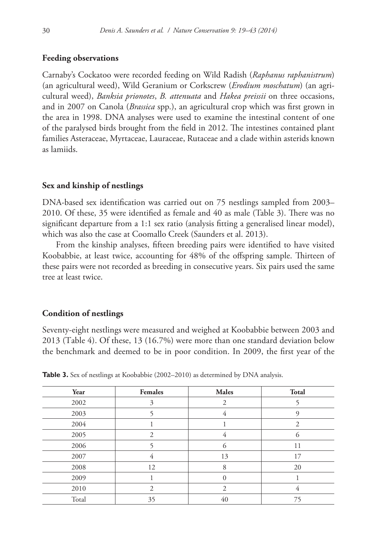## **Feeding observations**

Carnaby's Cockatoo were recorded feeding on Wild Radish (*Raphanus raphanistrum*) (an agricultural weed), Wild Geranium or Corkscrew (*Erodium moschatum*) (an agricultural weed), *Banksia prionotes*, *B. attenuata* and *Hakea preissii* on three occasions, and in 2007 on Canola (*Brassica* spp.), an agricultural crop which was first grown in the area in 1998. DNA analyses were used to examine the intestinal content of one of the paralysed birds brought from the field in 2012. The intestines contained plant families Asteraceae, Myrtaceae, Lauraceae, Rutaceae and a clade within asterids known as lamiids.

#### **Sex and kinship of nestlings**

DNA-based sex identification was carried out on 75 nestlings sampled from 2003– 2010. Of these, 35 were identified as female and 40 as male (Table 3). There was no significant departure from a 1:1 sex ratio (analysis fitting a generalised linear model), which was also the case at Coomallo Creek (Saunders et al. 2013).

From the kinship analyses, fifteen breeding pairs were identified to have visited Koobabbie, at least twice, accounting for 48% of the offspring sample. Thirteen of these pairs were not recorded as breeding in consecutive years. Six pairs used the same tree at least twice.

#### **Condition of nestlings**

Seventy-eight nestlings were measured and weighed at Koobabbie between 2003 and 2013 (Table 4). Of these, 13 (16.7%) were more than one standard deviation below the benchmark and deemed to be in poor condition. In 2009, the first year of the

| Year  | <b>Females</b> | <b>Males</b> | Total          |
|-------|----------------|--------------|----------------|
| 2002  | 3              | 2            |                |
| 2003  |                | 4            | 9              |
| 2004  |                |              | $\mathfrak{D}$ |
| 2005  | 2              | 4            | 6              |
| 2006  |                | 6            | 11             |
| 2007  | 4              | 13           | 17             |
| 2008  | 12             | 8            | 20             |
| 2009  |                | $\Omega$     |                |
| 2010  | 2              | 2            | 4              |
| Total | 35             | 40           | 75             |

Table 3. Sex of nestlings at Koobabbie (2002–2010) as determined by DNA analysis.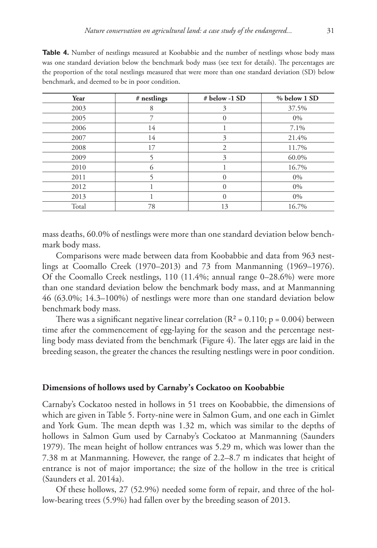| Year  | # nestlings | $#$ below -1 SD | % below 1 SD |
|-------|-------------|-----------------|--------------|
| 2003  | 8           | 3               | 37.5%        |
| 2005  |             | $\Omega$        | 0%           |
| 2006  | 14          |                 | 7.1%         |
| 2007  | 14          | 3               | 21.4%        |
| 2008  | 17          | $\overline{c}$  | 11.7%        |
| 2009  |             | 3               | 60.0%        |
| 2010  | $\Omega$    |                 | 16.7%        |
| 2011  |             | $\Omega$        | 0%           |
| 2012  |             | $\Omega$        | $0\%$        |
| 2013  |             | $\Omega$        | 0%           |
| Total | 78          | 13              | 16.7%        |

**Table 4.** Number of nestlings measured at Koobabbie and the number of nestlings whose body mass was one standard deviation below the benchmark body mass (see text for details). The percentages are the proportion of the total nestlings measured that were more than one standard deviation (SD) below benchmark, and deemed to be in poor condition.

mass deaths, 60.0% of nestlings were more than one standard deviation below benchmark body mass.

Comparisons were made between data from Koobabbie and data from 963 nestlings at Coomallo Creek (1970–2013) and 73 from Manmanning (1969–1976). Of the Coomallo Creek nestlings, 110 (11.4%; annual range 0–28.6%) were more than one standard deviation below the benchmark body mass, and at Manmanning 46 (63.0%; 14.3–100%) of nestlings were more than one standard deviation below benchmark body mass.

There was a significant negative linear correlation ( $R^2$  = 0.110; p = 0.004) between time after the commencement of egg-laying for the season and the percentage nestling body mass deviated from the benchmark (Figure 4). The later eggs are laid in the breeding season, the greater the chances the resulting nestlings were in poor condition.

# **Dimensions of hollows used by Carnaby's Cockatoo on Koobabbie**

Carnaby's Cockatoo nested in hollows in 51 trees on Koobabbie, the dimensions of which are given in Table 5. Forty-nine were in Salmon Gum, and one each in Gimlet and York Gum. The mean depth was 1.32 m, which was similar to the depths of hollows in Salmon Gum used by Carnaby's Cockatoo at Manmanning (Saunders 1979). The mean height of hollow entrances was 5.29 m, which was lower than the 7.38 m at Manmanning. However, the range of 2.2–8.7 m indicates that height of entrance is not of major importance; the size of the hollow in the tree is critical (Saunders et al. 2014a).

Of these hollows, 27 (52.9%) needed some form of repair, and three of the hollow-bearing trees (5.9%) had fallen over by the breeding season of 2013.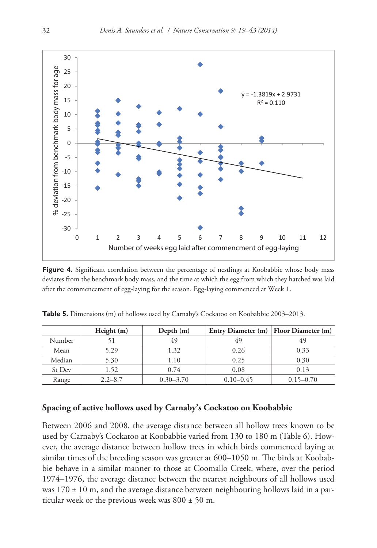

Figure 4. Significant correlation between the percentage of nestlings at Koobabbie whose body mass deviates from the benchmark body mass, and the time at which the egg from which they hatched was laid after the commencement of egg-laying for the season. Egg-laying commenced at Week 1.

|        | Height (m)  | Depth $(m)$   | Entry Diameter (m)   Floor Diameter (m) |               |
|--------|-------------|---------------|-----------------------------------------|---------------|
| Number |             | 49            | 49                                      | 49            |
| Mean   | 5.29        | 1.32          | 0.26                                    | 0.33          |
| Median | 5.30        | 1.10          | 0.25                                    | 0.30          |
| St Dev | 1.52        | 0.74          | 0.08                                    | 0.13          |
| Range  | $2.2 - 8.7$ | $0.30 - 3.70$ | $0.10 - 0.45$                           | $0.15 - 0.70$ |

**Table 5.** Dimensions (m) of hollows used by Carnaby's Cockatoo on Koobabbie 2003–2013.

# **Spacing of active hollows used by Carnaby's Cockatoo on Koobabbie**

Between 2006 and 2008, the average distance between all hollow trees known to be used by Carnaby's Cockatoo at Koobabbie varied from 130 to 180 m (Table 6). However, the average distance between hollow trees in which birds commenced laying at similar times of the breeding season was greater at 600–1050 m. The birds at Koobabbie behave in a similar manner to those at Coomallo Creek, where, over the period 1974–1976, the average distance between the nearest neighbours of all hollows used was  $170 \pm 10$  m, and the average distance between neighbouring hollows laid in a particular week or the previous week was  $800 \pm 50$  m.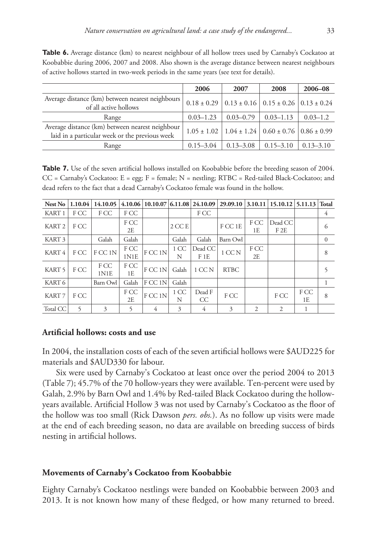**Table 6.** Average distance (km) to nearest neighbour of all hollow trees used by Carnaby's Cockatoo at Koobabbie during 2006, 2007 and 2008. Also shown is the average distance between nearest neighbours of active hollows started in two-week periods in the same years (see text for details).

|                                                                                                   | 2006          | 2007          | 2008                                                                  | 2006-08       |
|---------------------------------------------------------------------------------------------------|---------------|---------------|-----------------------------------------------------------------------|---------------|
| Average distance (km) between nearest neighbours<br>of all active hollows                         |               |               | $0.18 \pm 0.29$ 0.13 $\pm$ 0.16 0.15 $\pm$ 0.26 0.13 $\pm$ 0.24       |               |
| Range                                                                                             | $0.03 - 1.23$ | $0.03 - 0.79$ | $0.03 - 1.13$                                                         | $0.03 - 1.2$  |
| Average distance (km) between nearest neighbour<br>laid in a particular week or the previous week |               |               | $1.05 \pm 1.02$   $1.04 \pm 1.24$   $0.60 \pm 0.76$   $0.86 \pm 0.99$ |               |
| Range                                                                                             | $0.15 - 3.04$ | $0.13 - 3.08$ | $0.15 - 3.10$                                                         | $0.13 - 3.10$ |

**Table 7.** Use of the seven artificial hollows installed on Koobabbie before the breeding season of 2004.  $CC = Carnaby's Cockatoo: E = egg; F = female; N = nestling; RTBC = Red-tailed Black-Cockatoo; and$ dead refers to the fact that a dead Carnaby's Cockatoo female was found in the hollow.

| Nest No           | 1.10.04 | 14.10.05     |              |         |           |                | $4.10.06 \mid 10.10.07 \mid 6.11.08 \mid 24.10.09 \mid 29.09.10 \mid 3.10.11 \mid 15.10.12 \mid 5.11.13 \mid Total$ |            |                |            |                |
|-------------------|---------|--------------|--------------|---------|-----------|----------------|---------------------------------------------------------------------------------------------------------------------|------------|----------------|------------|----------------|
| KART <sub>1</sub> | F CC    | F CC         | F CC         |         |           | F CC           |                                                                                                                     |            |                |            | 4              |
| KART <sub>2</sub> | F CC    |              | F CC<br>2E   |         | $2$ CC E  |                | F CC 1E                                                                                                             | F CC<br>1E | Dead CC<br>F2E |            | 6              |
| KART <sub>3</sub> |         | Galah        | Galah        |         | Galah     | Galah          | Barn Owl                                                                                                            |            |                |            | $\overline{0}$ |
| KART 4            | F CC    | F CC 1N      | F CC<br>1N1E | FCC 1N  | 1 CC<br>N | Dead CC<br>F1E | $1$ CC N $\,$                                                                                                       | F CC<br>2E |                |            | 8              |
| KART <sub>5</sub> | F CC    | F CC<br>1N1E | F CC<br>1E   | F CC 1N | Galah     | $1$ CC N       | <b>RTBC</b>                                                                                                         |            |                |            | 5              |
| KART 6            |         | Barn Owl     | Galah        | F CC 1N | Galah     |                |                                                                                                                     |            |                |            |                |
| KART <sub>7</sub> | F CC    |              | F CC<br>2E   | FCC 1N  | 1 CC<br>N | Dead F<br>CC   | F CC                                                                                                                |            | F CC           | F CC<br>1E | 8              |
| Total CC          |         | 3            | 5            | 4       | 3         | 4              | 3                                                                                                                   | 2          | 2              |            |                |

# **Artificial hollows: costs and use**

In 2004, the installation costs of each of the seven artificial hollows were \$AUD225 for materials and \$AUD330 for labour.

Six were used by Carnaby's Cockatoo at least once over the period 2004 to 2013 (Table 7); 45.7% of the 70 hollow-years they were available. Ten-percent were used by Galah, 2.9% by Barn Owl and 1.4% by Red-tailed Black Cockatoo during the hollowyears available. Artificial Hollow 3 was not used by Carnaby's Cockatoo as the floor of the hollow was too small (Rick Dawson *pers. obs.*). As no follow up visits were made at the end of each breeding season, no data are available on breeding success of birds nesting in artificial hollows.

#### **Movements of Carnaby's Cockatoo from Koobabbie**

Eighty Carnaby's Cockatoo nestlings were banded on Koobabbie between 2003 and 2013. It is not known how many of these fledged, or how many returned to breed.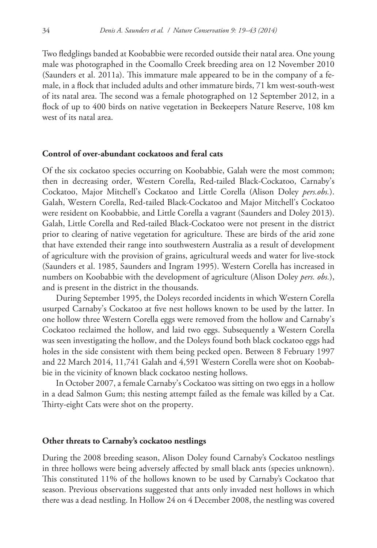Two fledglings banded at Koobabbie were recorded outside their natal area. One young male was photographed in the Coomallo Creek breeding area on 12 November 2010 (Saunders et al. 2011a). This immature male appeared to be in the company of a female, in a flock that included adults and other immature birds, 71 km west-south-west of its natal area. The second was a female photographed on 12 September 2012, in a flock of up to 400 birds on native vegetation in Beekeepers Nature Reserve, 108 km west of its natal area.

## **Control of over-abundant cockatoos and feral cats**

Of the six cockatoo species occurring on Koobabbie, Galah were the most common; then in decreasing order, Western Corella, Red-tailed Black-Cockatoo, Carnaby's Cockatoo, Major Mitchell's Cockatoo and Little Corella (Alison Doley *pers.obs.*). Galah, Western Corella, Red-tailed Black-Cockatoo and Major Mitchell's Cockatoo were resident on Koobabbie, and Little Corella a vagrant (Saunders and Doley 2013). Galah, Little Corella and Red-tailed Black-Cockatoo were not present in the district prior to clearing of native vegetation for agriculture. These are birds of the arid zone that have extended their range into southwestern Australia as a result of development of agriculture with the provision of grains, agricultural weeds and water for live-stock (Saunders et al. 1985, Saunders and Ingram 1995). Western Corella has increased in numbers on Koobabbie with the development of agriculture (Alison Doley *pers. obs.*), and is present in the district in the thousands.

During September 1995, the Doleys recorded incidents in which Western Corella usurped Carnaby's Cockatoo at five nest hollows known to be used by the latter. In one hollow three Western Corella eggs were removed from the hollow and Carnaby's Cockatoo reclaimed the hollow, and laid two eggs. Subsequently a Western Corella was seen investigating the hollow, and the Doleys found both black cockatoo eggs had holes in the side consistent with them being pecked open. Between 8 February 1997 and 22 March 2014, 11,741 Galah and 4,591 Western Corella were shot on Koobabbie in the vicinity of known black cockatoo nesting hollows.

In October 2007, a female Carnaby's Cockatoo was sitting on two eggs in a hollow in a dead Salmon Gum; this nesting attempt failed as the female was killed by a Cat. Thirty-eight Cats were shot on the property.

## **Other threats to Carnaby's cockatoo nestlings**

During the 2008 breeding season, Alison Doley found Carnaby's Cockatoo nestlings in three hollows were being adversely affected by small black ants (species unknown). This constituted 11% of the hollows known to be used by Carnaby's Cockatoo that season. Previous observations suggested that ants only invaded nest hollows in which there was a dead nestling. In Hollow 24 on 4 December 2008, the nestling was covered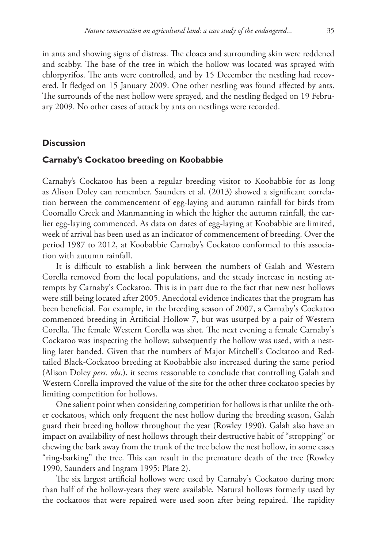in ants and showing signs of distress. The cloaca and surrounding skin were reddened and scabby. The base of the tree in which the hollow was located was sprayed with chlorpyrifos. The ants were controlled, and by 15 December the nestling had recovered. It fledged on 15 January 2009. One other nestling was found affected by ants. The surrounds of the nest hollow were sprayed, and the nestling fledged on 19 February 2009. No other cases of attack by ants on nestlings were recorded.

## **Discussion**

#### **Carnaby's Cockatoo breeding on Koobabbie**

Carnaby's Cockatoo has been a regular breeding visitor to Koobabbie for as long as Alison Doley can remember. Saunders et al. (2013) showed a significant correlation between the commencement of egg-laying and autumn rainfall for birds from Coomallo Creek and Manmanning in which the higher the autumn rainfall, the earlier egg-laying commenced. As data on dates of egg-laying at Koobabbie are limited, week of arrival has been used as an indicator of commencement of breeding. Over the period 1987 to 2012, at Koobabbie Carnaby's Cockatoo conformed to this association with autumn rainfall.

It is difficult to establish a link between the numbers of Galah and Western Corella removed from the local populations, and the steady increase in nesting attempts by Carnaby's Cockatoo. This is in part due to the fact that new nest hollows were still being located after 2005. Anecdotal evidence indicates that the program has been beneficial. For example, in the breeding season of 2007, a Carnaby's Cockatoo commenced breeding in Artificial Hollow 7, but was usurped by a pair of Western Corella. The female Western Corella was shot. The next evening a female Carnaby's Cockatoo was inspecting the hollow; subsequently the hollow was used, with a nestling later banded. Given that the numbers of Major Mitchell's Cockatoo and Redtailed Black-Cockatoo breeding at Koobabbie also increased during the same period (Alison Doley *pers. obs*.), it seems reasonable to conclude that controlling Galah and Western Corella improved the value of the site for the other three cockatoo species by limiting competition for hollows.

One salient point when considering competition for hollows is that unlike the other cockatoos, which only frequent the nest hollow during the breeding season, Galah guard their breeding hollow throughout the year (Rowley 1990). Galah also have an impact on availability of nest hollows through their destructive habit of "stropping" or chewing the bark away from the trunk of the tree below the nest hollow, in some cases "ring-barking" the tree. This can result in the premature death of the tree (Rowley 1990, Saunders and Ingram 1995: Plate 2).

The six largest artificial hollows were used by Carnaby's Cockatoo during more than half of the hollow-years they were available. Natural hollows formerly used by the cockatoos that were repaired were used soon after being repaired. The rapidity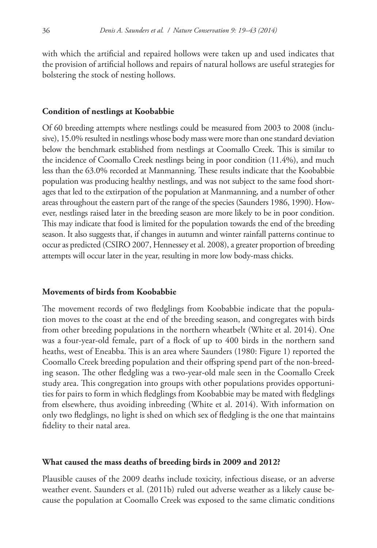with which the artificial and repaired hollows were taken up and used indicates that the provision of artificial hollows and repairs of natural hollows are useful strategies for bolstering the stock of nesting hollows.

#### **Condition of nestlings at Koobabbie**

Of 60 breeding attempts where nestlings could be measured from 2003 to 2008 (inclusive), 15.0% resulted in nestlings whose body mass were more than one standard deviation below the benchmark established from nestlings at Coomallo Creek. This is similar to the incidence of Coomallo Creek nestlings being in poor condition (11.4%), and much less than the 63.0% recorded at Manmanning. These results indicate that the Koobabbie population was producing healthy nestlings, and was not subject to the same food shortages that led to the extirpation of the population at Manmanning, and a number of other areas throughout the eastern part of the range of the species (Saunders 1986, 1990). However, nestlings raised later in the breeding season are more likely to be in poor condition. This may indicate that food is limited for the population towards the end of the breeding season. It also suggests that, if changes in autumn and winter rainfall patterns continue to occur as predicted (CSIRO 2007, Hennessey et al. 2008), a greater proportion of breeding attempts will occur later in the year, resulting in more low body-mass chicks.

# **Movements of birds from Koobabbie**

The movement records of two fledglings from Koobabbie indicate that the population moves to the coast at the end of the breeding season, and congregates with birds from other breeding populations in the northern wheatbelt (White et al. 2014). One was a four-year-old female, part of a flock of up to 400 birds in the northern sand heaths, west of Eneabba. This is an area where Saunders (1980: Figure 1) reported the Coomallo Creek breeding population and their offspring spend part of the non-breeding season. The other fledgling was a two-year-old male seen in the Coomallo Creek study area. This congregation into groups with other populations provides opportunities for pairs to form in which fledglings from Koobabbie may be mated with fledglings from elsewhere, thus avoiding inbreeding (White et al. 2014). With information on only two fledglings, no light is shed on which sex of fledgling is the one that maintains fidelity to their natal area.

#### **What caused the mass deaths of breeding birds in 2009 and 2012?**

Plausible causes of the 2009 deaths include toxicity, infectious disease, or an adverse weather event. Saunders et al. (2011b) ruled out adverse weather as a likely cause because the population at Coomallo Creek was exposed to the same climatic conditions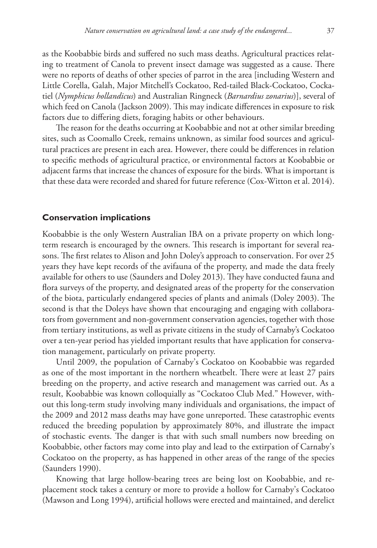as the Koobabbie birds and suffered no such mass deaths. Agricultural practices relating to treatment of Canola to prevent insect damage was suggested as a cause. There were no reports of deaths of other species of parrot in the area [including Western and Little Corella, Galah, Major Mitchell's Cockatoo, Red-tailed Black-Cockatoo, Cockatiel (*Nymphicus hollandicus*) and Australian Ringneck (*Barnardius zonarius*)], several of which feed on Canola (Jackson 2009). This may indicate differences in exposure to risk factors due to differing diets, foraging habits or other behaviours.

The reason for the deaths occurring at Koobabbie and not at other similar breeding sites, such as Coomallo Creek, remains unknown, as similar food sources and agricultural practices are present in each area. However, there could be differences in relation to specific methods of agricultural practice, or environmental factors at Koobabbie or adjacent farms that increase the chances of exposure for the birds. What is important is that these data were recorded and shared for future reference (Cox-Witton et al. 2014).

## **Conservation implications**

Koobabbie is the only Western Australian IBA on a private property on which longterm research is encouraged by the owners. This research is important for several reasons. The first relates to Alison and John Doley's approach to conservation. For over 25 years they have kept records of the avifauna of the property, and made the data freely available for others to use (Saunders and Doley 2013). They have conducted fauna and flora surveys of the property, and designated areas of the property for the conservation of the biota, particularly endangered species of plants and animals (Doley 2003). The second is that the Doleys have shown that encouraging and engaging with collaborators from government and non-government conservation agencies, together with those from tertiary institutions, as well as private citizens in the study of Carnaby's Cockatoo over a ten-year period has yielded important results that have application for conservation management, particularly on private property.

Until 2009, the population of Carnaby's Cockatoo on Koobabbie was regarded as one of the most important in the northern wheatbelt. There were at least 27 pairs breeding on the property, and active research and management was carried out. As a result, Koobabbie was known colloquially as "Cockatoo Club Med." However, without this long-term study involving many individuals and organisations, the impact of the 2009 and 2012 mass deaths may have gone unreported. These catastrophic events reduced the breeding population by approximately 80%, and illustrate the impact of stochastic events. The danger is that with such small numbers now breeding on Koobabbie, other factors may come into play and lead to the extirpation of Carnaby's Cockatoo on the property, as has happened in other areas of the range of the species (Saunders 1990).

Knowing that large hollow-bearing trees are being lost on Koobabbie, and replacement stock takes a century or more to provide a hollow for Carnaby's Cockatoo (Mawson and Long 1994), artificial hollows were erected and maintained, and derelict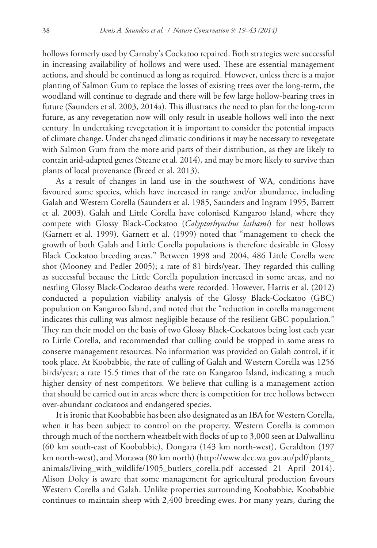hollows formerly used by Carnaby's Cockatoo repaired. Both strategies were successful in increasing availability of hollows and were used. These are essential management actions, and should be continued as long as required. However, unless there is a major planting of Salmon Gum to replace the losses of existing trees over the long-term, the woodland will continue to degrade and there will be few large hollow-bearing trees in future (Saunders et al. 2003, 2014a). This illustrates the need to plan for the long-term future, as any revegetation now will only result in useable hollows well into the next century. In undertaking revegetation it is important to consider the potential impacts of climate change. Under changed climatic conditions it may be necessary to revegetate with Salmon Gum from the more arid parts of their distribution, as they are likely to contain arid-adapted genes (Steane et al. 2014), and may be more likely to survive than plants of local provenance (Breed et al. 2013).

As a result of changes in land use in the southwest of WA, conditions have favoured some species, which have increased in range and/or abundance, including Galah and Western Corella (Saunders et al. 1985, Saunders and Ingram 1995, Barrett et al. 2003). Galah and Little Corella have colonised Kangaroo Island, where they compete with Glossy Black-Cockatoo (*Calyptorhynchus lathami*) for nest hollows (Garnett et al. 1999). Garnett et al. (1999) noted that "management to check the growth of both Galah and Little Corella populations is therefore desirable in Glossy Black Cockatoo breeding areas." Between 1998 and 2004, 486 Little Corella were shot (Mooney and Pedler 2005); a rate of 81 birds/year. They regarded this culling as successful because the Little Corella population increased in some areas, and no nestling Glossy Black-Cockatoo deaths were recorded. However, Harris et al. (2012) conducted a population viability analysis of the Glossy Black-Cockatoo (GBC) population on Kangaroo Island, and noted that the "reduction in corella management indicates this culling was almost negligible because of the resilient GBC population." They ran their model on the basis of two Glossy Black-Cockatoos being lost each year to Little Corella, and recommended that culling could be stopped in some areas to conserve management resources. No information was provided on Galah control, if it took place. At Koobabbie, the rate of culling of Galah and Western Corella was 1256 birds/year; a rate 15.5 times that of the rate on Kangaroo Island, indicating a much higher density of nest competitors. We believe that culling is a management action that should be carried out in areas where there is competition for tree hollows between over-abundant cockatoos and endangered species.

It is ironic that Koobabbie has been also designated as an IBA for Western Corella, when it has been subject to control on the property. Western Corella is common through much of the northern wheatbelt with flocks of up to 3,000 seen at Dalwallinu (60 km south-east of Koobabbie), Dongara (143 km north-west), Geraldton (197 km north-west), and Morawa (80 km north) [\(http://www.dec.wa.gov.au/pdf/plants\\_](http://www.dec.wa.gov.au/pdf/plants_animals/living_with_wildlife/1905_butlers_corella.pdf) [animals/living\\_with\\_wildlife/1905\\_butlers\\_corella.pdf](http://www.dec.wa.gov.au/pdf/plants_animals/living_with_wildlife/1905_butlers_corella.pdf) accessed 21 April 2014). Alison Doley is aware that some management for agricultural production favours Western Corella and Galah. Unlike properties surrounding Koobabbie, Koobabbie continues to maintain sheep with 2,400 breeding ewes. For many years, during the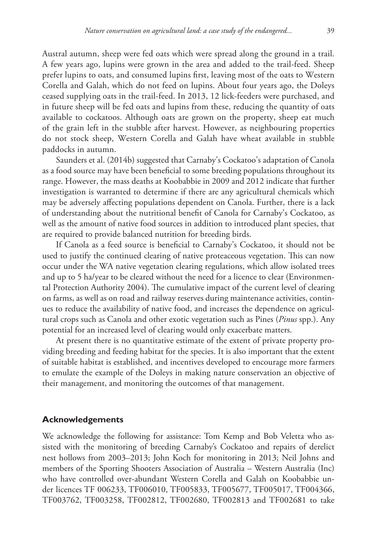Austral autumn, sheep were fed oats which were spread along the ground in a trail. A few years ago, lupins were grown in the area and added to the trail-feed. Sheep prefer lupins to oats, and consumed lupins first, leaving most of the oats to Western Corella and Galah, which do not feed on lupins. About four years ago, the Doleys ceased supplying oats in the trail-feed. In 2013, 12 lick-feeders were purchased, and in future sheep will be fed oats and lupins from these, reducing the quantity of oats available to cockatoos. Although oats are grown on the property, sheep eat much of the grain left in the stubble after harvest. However, as neighbouring properties do not stock sheep, Western Corella and Galah have wheat available in stubble paddocks in autumn.

Saunders et al. (2014b) suggested that Carnaby's Cockatoo's adaptation of Canola as a food source may have been beneficial to some breeding populations throughout its range. However, the mass deaths at Koobabbie in 2009 and 2012 indicate that further investigation is warranted to determine if there are any agricultural chemicals which may be adversely affecting populations dependent on Canola. Further, there is a lack of understanding about the nutritional benefit of Canola for Carnaby's Cockatoo, as well as the amount of native food sources in addition to introduced plant species, that are required to provide balanced nutrition for breeding birds.

If Canola as a feed source is beneficial to Carnaby's Cockatoo, it should not be used to justify the continued clearing of native proteaceous vegetation. This can now occur under the WA native vegetation clearing regulations, which allow isolated trees and up to 5 ha/year to be cleared without the need for a licence to clear (Environmental Protection Authority 2004). The cumulative impact of the current level of clearing on farms, as well as on road and railway reserves during maintenance activities, continues to reduce the availability of native food, and increases the dependence on agricultural crops such as Canola and other exotic vegetation such as Pines (*Pinus* spp.). Any potential for an increased level of clearing would only exacerbate matters.

At present there is no quantitative estimate of the extent of private property providing breeding and feeding habitat for the species. It is also important that the extent of suitable habitat is established, and incentives developed to encourage more farmers to emulate the example of the Doleys in making nature conservation an objective of their management, and monitoring the outcomes of that management.

## **Acknowledgements**

We acknowledge the following for assistance: Tom Kemp and Bob Veletta who assisted with the monitoring of breeding Carnaby's Cockatoo and repairs of derelict nest hollows from 2003–2013; John Koch for monitoring in 2013; Neil Johns and members of the Sporting Shooters Association of Australia – Western Australia (Inc) who have controlled over-abundant Western Corella and Galah on Koobabbie under licences TF 006233, TF006010, TF005833, TF005677, TF005017, TF004366, TF003762, TF003258, TF002812, TF002680, TF002813 and TF002681 to take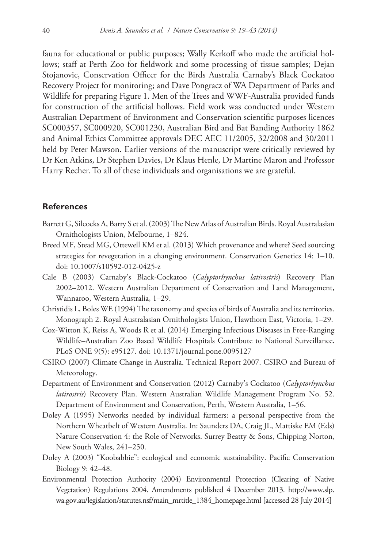fauna for educational or public purposes; Wally Kerkoff who made the artificial hollows; staff at Perth Zoo for fieldwork and some processing of tissue samples; Dejan Stojanovic, Conservation Officer for the Birds Australia Carnaby's Black Cockatoo Recovery Project for monitoring; and Dave Pongracz of WA Department of Parks and Wildlife for preparing Figure 1. Men of the Trees and WWF-Australia provided funds for construction of the artificial hollows. Field work was conducted under Western Australian Department of Environment and Conservation scientific purposes licences SC000357, SC000920, SC001230, Australian Bird and Bat Banding Authority 1862 and Animal Ethics Committee approvals DEC AEC 11/2005, 32/2008 and 30/2011 held by Peter Mawson. Earlier versions of the manuscript were critically reviewed by Dr Ken Atkins, Dr Stephen Davies, Dr Klaus Henle, Dr Martine Maron and Professor Harry Recher. To all of these individuals and organisations we are grateful.

# **References**

- Barrett G, Silcocks A, Barry S et al. (2003) The New Atlas of Australian Birds. Royal Australasian Ornithologists Union, Melbourne, 1–824.
- Breed MF, Stead MG, Ottewell KM et al. (2013) Which provenance and where? Seed sourcing strategies for revegetation in a changing environment. Conservation Genetics 14: 1–10. [doi: 10.1007/s10592-012-0425-z](http://dx.doi.org/10.1007/s10592-012-0425-z)
- Cale B (2003) Carnaby's Black-Cockatoo (*Calyptorhynchus latirostris*) Recovery Plan 2002–2012. Western Australian Department of Conservation and Land Management, Wannaroo, Western Australia, 1–29.
- Christidis L, Boles WE (1994) The taxonomy and species of birds of Australia and its territories. Monograph 2. Royal Australasian Ornithologists Union, Hawthorn East, Victoria, 1–29.
- Cox-Witton K, Reiss A, Woods R et al. (2014) Emerging Infectious Diseases in Free-Ranging Wildlife–Australian Zoo Based Wildlife Hospitals Contribute to National Surveillance. PLoS ONE 9(5): e95127. [doi: 10.1371/journal.pone.0095127](http://dx.doi.org/10.1371/journal.pone.0095127)
- CSIRO (2007) Climate Change in Australia. Technical Report 2007. CSIRO and Bureau of Meteorology.
- Department of Environment and Conservation (2012) Carnaby's Cockatoo (*Calyptorhynchus latirostris*) Recovery Plan. Western Australian Wildlife Management Program No. 52. Department of Environment and Conservation, Perth, Western Australia, 1–56.
- Doley A (1995) Networks needed by individual farmers: a personal perspective from the Northern Wheatbelt of Western Australia. In: Saunders DA, Craig JL, Mattiske EM (Eds) Nature Conservation 4: the Role of Networks. Surrey Beatty & Sons, Chipping Norton, New South Wales, 241–250.
- Doley A (2003) "Koobabbie": ecological and economic sustainability. Pacific Conservation Biology 9: 42–48.
- Environmental Protection Authority (2004) Environmental Protection (Clearing of Native Vegetation) Regulations 2004. Amendments published 4 December 2013. [http://www.slp.](http://www.slp.wa.gov.au/%C2%ADlegislation/statutes.nsf/main_mrtitle_1384_homepage.html) [wa.gov.au/legislation/statutes.nsf/main\\_mrtitle\\_1384\\_homepage.html](http://www.slp.wa.gov.au/%C2%ADlegislation/statutes.nsf/main_mrtitle_1384_homepage.html) [accessed 28 July 2014]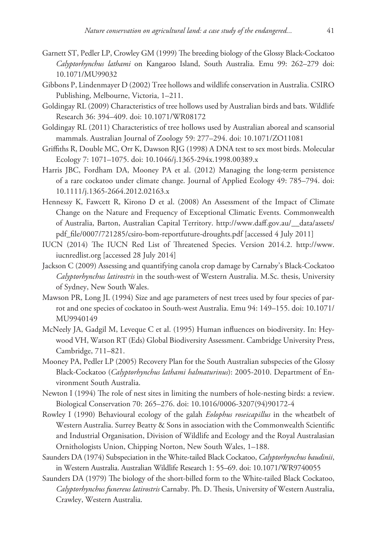- Garnett ST, Pedler LP, Crowley GM (1999) The breeding biology of the Glossy Black-Cockatoo *Calyptorhynchus lathami* on Kangaroo Island, South Australia. Emu 99: 262–279 [doi:](http://dx.doi.org/10.1071/MU99032) [10.1071/MU99032](http://dx.doi.org/10.1071/MU99032)
- Gibbons P, Lindenmayer D (2002) Tree hollows and wildlife conservation in Australia. CSIRO Publishing, Melbourne, Victoria, 1–211.
- Goldingay RL (2009) Characteristics of tree hollows used by Australian birds and bats. Wildlife Research 36: 394–409. [doi: 10.1071/WR08172](http://dx.doi.org/10.1071/WR08172)
- Goldingay RL (2011) Characteristics of tree hollows used by Australian aboreal and scansorial mammals. Australian Journal of Zoology 59: 277–294. [doi: 10.1071/ZO11081](http://dx.doi.org/10.1071/ZO11081)
- Griffiths R, Double MC, Orr K, Dawson RJG (1998) A DNA test to sex most birds. Molecular Ecology 7: 1071–1075. [doi: 10.1046/j.1365-294x.1998.00389.x](http://dx.doi.org/10.1046/j.1365-294x.1998.00389.x)
- Harris JBC, Fordham DA, Mooney PA et al. (2012) Managing the long-term persistence of a rare cockatoo under climate change. Journal of Applied Ecology 49: 785–794. [doi:](http://dx.doi.org/10.1111/j.1365-2664.2012.02163.x) [10.1111/j.1365-2664.2012.02163.x](http://dx.doi.org/10.1111/j.1365-2664.2012.02163.x)
- Hennessy K, Fawcett R, Kirono D et al. (2008) An Assessment of the Impact of Climate Change on the Nature and Frequency of Exceptional Climatic Events. Commonwealth of Australia, Barton, Australian Capital Territory. [http://www.daff.gov.au/\\_\\_data/assets/](http://www.daff.gov.au/__data/assets/pdf_file/0007/721285/csiro-bom-reportfuture-droughts.pdf) [pdf\\_file/0007/721285/csiro-bom-reportfuture-droughts.pdf](http://www.daff.gov.au/__data/assets/pdf_file/0007/721285/csiro-bom-reportfuture-droughts.pdf) [accessed 4 July 2011]
- IUCN (2014) The IUCN Red List of Threatened Species. Version 2014.2. [http://www.](http://www.iucnredlist.org) [iucnredlist.org](http://www.iucnredlist.org) [accessed 28 July 2014]
- Jackson C (2009) Assessing and quantifying canola crop damage by Carnaby's Black-Cockatoo *Calyptorhynchus latirostris* in the south-west of Western Australia. M.Sc. thesis, University of Sydney, New South Wales.
- Mawson PR, Long JL (1994) Size and age parameters of nest trees used by four species of parrot and one species of cockatoo in South-west Australia. Emu 94: 149–155. [doi: 10.1071/](http://dx.doi.org/10.1071/MU9940149) [MU9940149](http://dx.doi.org/10.1071/MU9940149)
- McNeely JA, Gadgil M, Leveque C et al. (1995) Human influences on biodiversity. In: Heywood VH, Watson RT (Eds) Global Biodiversity Assessment. Cambridge University Press, Cambridge, 711–821.
- Mooney PA, Pedler LP (2005) Recovery Plan for the South Australian subspecies of the Glossy Black-Cockatoo (*Calyptorhynchus lathami halmaturinus*): 2005-2010. Department of Environment South Australia.
- Newton I (1994) The role of nest sites in limiting the numbers of hole-nesting birds: a review. Biological Conservation 70: 265–276. [doi: 10.1016/0006-3207\(94\)90172-4](http://dx.doi.org/10.1016/0006-3207(94)90172-4)
- Rowley I (1990) Behavioural ecology of the galah *Eolophus roseicapillus* in the wheatbelt of Western Australia. Surrey Beatty & Sons in association with the Commonwealth Scientific and Industrial Organisation, Division of Wildlife and Ecology and the Royal Australasian Ornithologists Union, Chipping Norton, New South Wales, 1–188.
- Saunders DA (1974) Subspeciation in the White-tailed Black Cockatoo, *Calyptorhynchus baudinii*, in Western Australia. Australian Wildlife Research 1: 55–69. [doi: 10.1071/WR9740055](http://dx.doi.org/10.1071/WR9740055)
- Saunders DA (1979) The biology of the short-billed form to the White-tailed Black Cockatoo, *Calyptorhynchus funereus latirostris* Carnaby. Ph. D. Thesis, University of Western Australia, Crawley, Western Australia.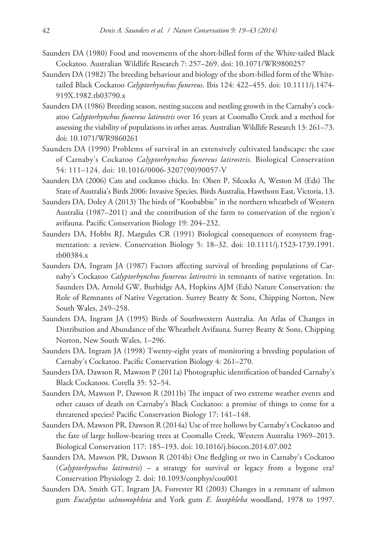- Saunders DA (1980) Food and movements of the short-billed form of the White-tailed Black Cockatoo. Australian Wildlife Research 7: 257–269. [doi: 10.1071/WR9800257](http://dx.doi.org/10.1071/WR9800257)
- Saunders DA (1982) The breeding behaviour and biology of the short-billed form of the Whitetailed Black Cockatoo *Calyptorhynchus funereus*. Ibis 124: 422–455. [doi: 10.1111/j.1474-](http://dx.doi.org/10.1111/j.1474-919X.1982.tb03790.x) [919X.1982.tb03790.x](http://dx.doi.org/10.1111/j.1474-919X.1982.tb03790.x)
- Saunders DA (1986) Breeding season, nesting success and nestling growth in the Carnaby's cockatoo *Calyptorhynchus funereus latirostris* over 16 years at Coomallo Creek and a method for assessing the viability of populations in other areas. Australian Wildlife Research 13: 261–73. [doi: 10.1071/WR9860261](http://dx.doi.org/10.1071/WR9860261)
- Saunders DA (1990) Problems of survival in an extensively cultivated landscape: the case of Carnaby's Cockatoo *Calyptorhynchus funereus latirostris*. Biological Conservation 54: 111–124. [doi: 10.1016/0006-3207\(90\)90057-V](http://dx.doi.org/10.1016/0006-3207(90)90057-V)
- Saunders DA (2006) Cats and cockatoo chicks. In: Olsen P, Silcocks A, Weston M (Eds) The State of Australia's Birds 2006: Invasive Species. Birds Australia, Hawthorn East, Victoria, 13.
- Saunders DA, Doley A (2013) The birds of "Koobabbie" in the northern wheatbelt of Western Australia (1987–2011) and the contribution of the farm to conservation of the region's avifauna. Pacific Conservation Biology 19: 204–232.
- Saunders DA, Hobbs RJ, Margules CR (1991) Biological consequences of ecosystem fragmentation: a review. Conservation Biology 5: 18–32. [doi: 10.1111/j.1523-1739.1991.](http://dx.doi.org/10.1111/j.1523-1739.1991.tb00384.x) [tb00384.x](http://dx.doi.org/10.1111/j.1523-1739.1991.tb00384.x)
- Saunders DA, Ingram JA (1987) Factors affecting survival of breeding populations of Carnaby's Cockatoo *Calyptorhynchus funereus latirostris* in remnants of native vegetation. In: Saunders DA, Arnold GW, Burbidge AA, Hopkins AJM (Eds) Nature Conservation: the Role of Remnants of Native Vegetation. Surrey Beatty & Sons, Chipping Norton, New South Wales, 249–258.
- Saunders DA, Ingram JA (1995) Birds of Southwestern Australia. An Atlas of Changes in Distribution and Abundance of the Wheatbelt Avifauna. Surrey Beatty & Sons, Chipping Norton, New South Wales, 1–296.
- Saunders DA, Ingram JA (1998) Twenty-eight years of monitoring a breeding population of Carnaby's Cockatoo. Pacific Conservation Biology 4: 261–270.
- Saunders DA, Dawson R, Mawson P (2011a) Photographic identification of banded Carnaby's Black Cockatoos. Corella 35: 52–54.
- Saunders DA, Mawson P, Dawson R (2011b) The impact of two extreme weather events and other causes of death on Carnaby's Black Cockatoo: a promise of things to come for a threatened species? Pacific Conservation Biology 17: 141–148.
- Saunders DA, Mawson PR, Dawson R (2014a) Use of tree hollows by Carnaby's Cockatoo and the fate of large hollow-bearing trees at Coomallo Creek, Western Australia 1969–2013. Biological Conservation 117: 185–193. [doi: 10.1016/j.biocon.2014.07.002](http://dx.doi.org/10.1016/j.biocon.2014.07.002)
- Saunders DA, Mawson PR, Dawson R (2014b) One fledgling or two in Carnaby's Cockatoo (*Calyptorhynchus latirostris*) – a strategy for survival or legacy from a bygone era? Conservation Physiology 2. [doi: 10.1093/conphys/cou001](http://dx.doi.org/10.1093/conphys/cou001)
- Saunders DA, Smith GT, Ingram JA, Forrester RI (2003) Changes in a remnant of salmon gum *Eucalyptus salmonophloia* and York gum *E. loxophleba* woodland, 1978 to 1997.